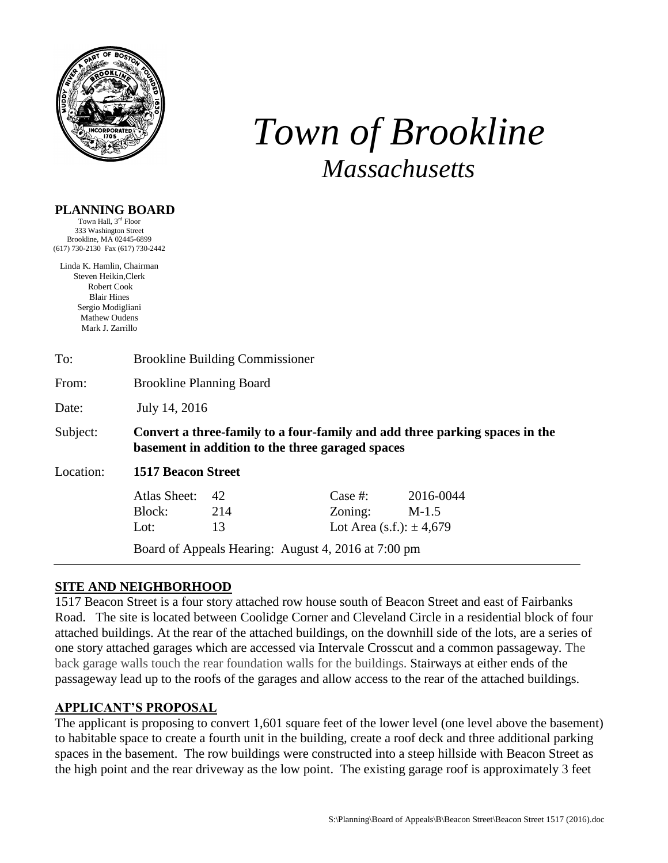

# *Town of Brookline Massachusetts*

# **PLANNING BOARD**

Town Hall, 3<sup>rd</sup> Floor 333 Washington Street Brookline, MA 02445-6899 (617) 730-2130 Fax (617) 730-2442

Linda K. Hamlin, Chairman Steven Heikin,Clerk Robert Cook Blair Hines Sergio Modigliani Mathew Oudens Mark J. Zarrillo

| To:       | <b>Brookline Building Commissioner</b>                                                                                          |                                                                        |                                                     |                      |  |  |  |
|-----------|---------------------------------------------------------------------------------------------------------------------------------|------------------------------------------------------------------------|-----------------------------------------------------|----------------------|--|--|--|
| From:     | <b>Brookline Planning Board</b>                                                                                                 |                                                                        |                                                     |                      |  |  |  |
| Date:     | July 14, 2016                                                                                                                   |                                                                        |                                                     |                      |  |  |  |
| Subject:  | Convert a three-family to a four-family and add three parking spaces in the<br>basement in addition to the three garaged spaces |                                                                        |                                                     |                      |  |  |  |
| Location: | <b>1517 Beacon Street</b>                                                                                                       |                                                                        |                                                     |                      |  |  |  |
|           | Atlas Sheet:<br>Block:<br>Lot:                                                                                                  | 42<br>214<br>13<br>Board of Appeals Hearing: August 4, 2016 at 7:00 pm | Case  #:<br>Zoning:<br>Lot Area (s.f.): $\pm$ 4,679 | 2016-0044<br>$M-1.5$ |  |  |  |

# **SITE AND NEIGHBORHOOD**

1517 Beacon Street is a four story attached row house south of Beacon Street and east of Fairbanks Road. The site is located between Coolidge Corner and Cleveland Circle in a residential block of four attached buildings. At the rear of the attached buildings, on the downhill side of the lots, are a series of one story attached garages which are accessed via Intervale Crosscut and a common passageway. The back garage walls touch the rear foundation walls for the buildings. Stairways at either ends of the passageway lead up to the roofs of the garages and allow access to the rear of the attached buildings.

# **APPLICANT'S PROPOSAL**

The applicant is proposing to convert 1,601 square feet of the lower level (one level above the basement) to habitable space to create a fourth unit in the building, create a roof deck and three additional parking spaces in the basement. The row buildings were constructed into a steep hillside with Beacon Street as the high point and the rear driveway as the low point. The existing garage roof is approximately 3 feet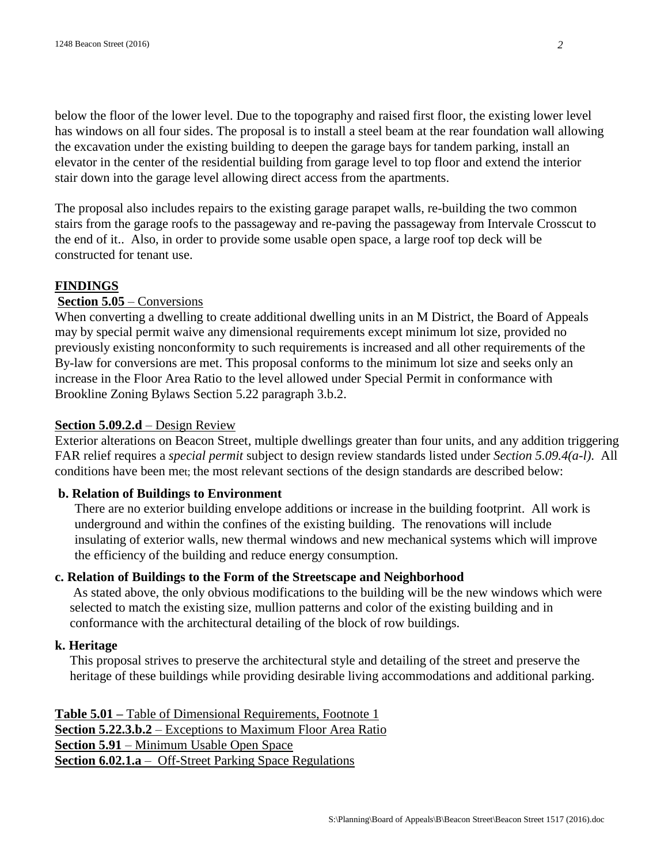below the floor of the lower level. Due to the topography and raised first floor, the existing lower level has windows on all four sides. The proposal is to install a steel beam at the rear foundation wall allowing the excavation under the existing building to deepen the garage bays for tandem parking, install an elevator in the center of the residential building from garage level to top floor and extend the interior stair down into the garage level allowing direct access from the apartments.

The proposal also includes repairs to the existing garage parapet walls, re-building the two common stairs from the garage roofs to the passageway and re-paving the passageway from Intervale Crosscut to the end of it.. Also, in order to provide some usable open space, a large roof top deck will be constructed for tenant use.

#### **FINDINGS**

#### **Section 5.05** – Conversions

When converting a dwelling to create additional dwelling units in an M District, the Board of Appeals may by special permit waive any dimensional requirements except minimum lot size, provided no previously existing nonconformity to such requirements is increased and all other requirements of the By-law for conversions are met. This proposal conforms to the minimum lot size and seeks only an increase in the Floor Area Ratio to the level allowed under Special Permit in conformance with Brookline Zoning Bylaws Section 5.22 paragraph 3.b.2.

#### **Section 5.09.2.d** – Design Review

Exterior alterations on Beacon Street, multiple dwellings greater than four units, and any addition triggering FAR relief requires a *special permit* subject to design review standards listed under *Section 5.09.4(a-l)*. All conditions have been met; the most relevant sections of the design standards are described below:

#### **b. Relation of Buildings to Environment**

There are no exterior building envelope additions or increase in the building footprint. All work is underground and within the confines of the existing building. The renovations will include insulating of exterior walls, new thermal windows and new mechanical systems which will improve the efficiency of the building and reduce energy consumption.

## **c. Relation of Buildings to the Form of the Streetscape and Neighborhood**

As stated above, the only obvious modifications to the building will be the new windows which were selected to match the existing size, mullion patterns and color of the existing building and in conformance with the architectural detailing of the block of row buildings.

#### **k. Heritage**

This proposal strives to preserve the architectural style and detailing of the street and preserve the heritage of these buildings while providing desirable living accommodations and additional parking.

**Table 5.01 –** Table of Dimensional Requirements, Footnote 1 **Section 5.22.3.b.2** – Exceptions to Maximum Floor Area Ratio **Section 5.91** – Minimum Usable Open Space **Section 6.02.1.a** – Off-Street Parking Space Regulations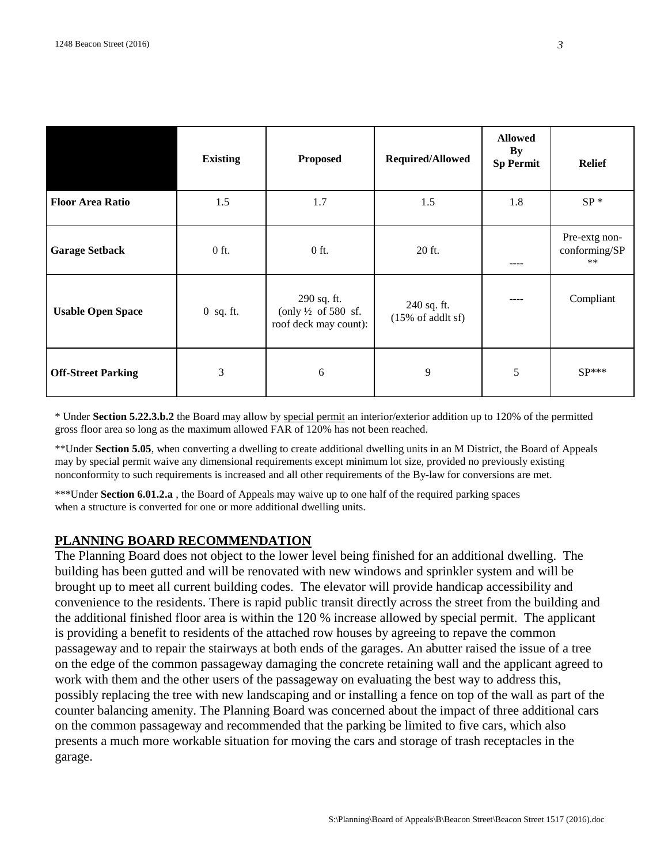|                           | <b>Existing</b> | <b>Proposed</b>                                                        | Required/Allowed                            | <b>Allowed</b><br>By<br><b>Sp Permit</b> | <b>Relief</b>                           |
|---------------------------|-----------------|------------------------------------------------------------------------|---------------------------------------------|------------------------------------------|-----------------------------------------|
| <b>Floor Area Ratio</b>   | 1.5             | 1.7                                                                    | 1.5                                         | 1.8                                      | $SP*$                                   |
| <b>Garage Setback</b>     | $0$ ft.         | $0$ ft.                                                                | 20 ft.                                      | ----                                     | Pre-extg non-<br>conforming/SP<br>$***$ |
| <b>Usable Open Space</b>  | $0$ sq. ft.     | 290 sq. ft.<br>(only $\frac{1}{2}$ of 580 sf.<br>roof deck may count): | 240 sq. ft.<br>$(15\% \text{ of addlt sf})$ | ----                                     | Compliant                               |
| <b>Off-Street Parking</b> | 3               | 6                                                                      | 9                                           | 5                                        | $SP***$                                 |

\* Under **Section 5.22.3.b.2** the Board may allow by special permit an interior/exterior addition up to 120% of the permitted gross floor area so long as the maximum allowed FAR of 120% has not been reached.

\*\*Under **Section 5.05**, when converting a dwelling to create additional dwelling units in an M District, the Board of Appeals may by special permit waive any dimensional requirements except minimum lot size, provided no previously existing nonconformity to such requirements is increased and all other requirements of the By-law for conversions are met.

\*\*\*Under **Section 6.01.2.a** , the Board of Appeals may waive up to one half of the required parking spaces when a structure is converted for one or more additional dwelling units.

## **PLANNING BOARD RECOMMENDATION**

The Planning Board does not object to the lower level being finished for an additional dwelling. The building has been gutted and will be renovated with new windows and sprinkler system and will be brought up to meet all current building codes. The elevator will provide handicap accessibility and convenience to the residents. There is rapid public transit directly across the street from the building and the additional finished floor area is within the 120 % increase allowed by special permit. The applicant is providing a benefit to residents of the attached row houses by agreeing to repave the common passageway and to repair the stairways at both ends of the garages. An abutter raised the issue of a tree on the edge of the common passageway damaging the concrete retaining wall and the applicant agreed to work with them and the other users of the passageway on evaluating the best way to address this, possibly replacing the tree with new landscaping and or installing a fence on top of the wall as part of the counter balancing amenity. The Planning Board was concerned about the impact of three additional cars on the common passageway and recommended that the parking be limited to five cars, which also presents a much more workable situation for moving the cars and storage of trash receptacles in the garage.